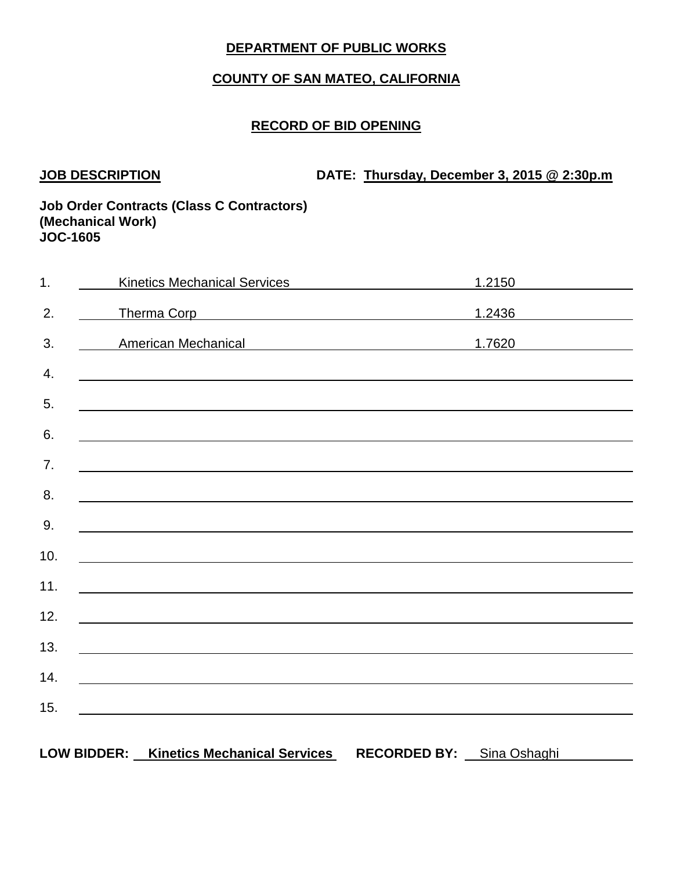# **COUNTY OF SAN MATEO, CALIFORNIA**

# **RECORD OF BID OPENING**

**JOB DESCRIPTION DATE: Thursday, December 3, 2015 @ 2:30p.m**

## **Job Order Contracts (Class C Contractors) (Mechanical Work) JOC-1605**

| $\overline{1}$ . | <b>Kinetics Mechanical Services</b>                                                                                   |                     | 1.2150       |
|------------------|-----------------------------------------------------------------------------------------------------------------------|---------------------|--------------|
| 2.               | Therma Corp <b>Example 2018</b> Therman Corp                                                                          |                     | 1.2436       |
| 3.               | American Mechanical Manual American Mechanical                                                                        |                     | 1.7620       |
| 4.               | ,我们也不会有什么。""我们的人,我们也不会有什么?""我们的人,我们也不会有什么?""我们的人,我们也不会有什么?""我们的人,我们也不会有什么?""我们的人                                      |                     |              |
| 5.               |                                                                                                                       |                     |              |
| 6.               |                                                                                                                       |                     |              |
| 7.               | and the control of the control of the control of the control of the control of the control of the control of the      |                     |              |
| 8.               |                                                                                                                       |                     |              |
| 9.               |                                                                                                                       |                     |              |
|                  |                                                                                                                       |                     |              |
| 10.              | <u> 1989 - Johann Stoff, deutscher Stoff, der Stoff, der Stoff, der Stoff, der Stoff, der Stoff, der Stoff, der S</u> |                     |              |
| 11.              |                                                                                                                       |                     |              |
| 12.              |                                                                                                                       |                     |              |
| 13.              |                                                                                                                       |                     |              |
| 14.              |                                                                                                                       |                     |              |
| 15.              |                                                                                                                       |                     |              |
|                  | <b>LOW BIDDER:</b><br><b>Kinetics Mechanical Services</b>                                                             | <b>RECORDED BY:</b> | Sina Oshaghi |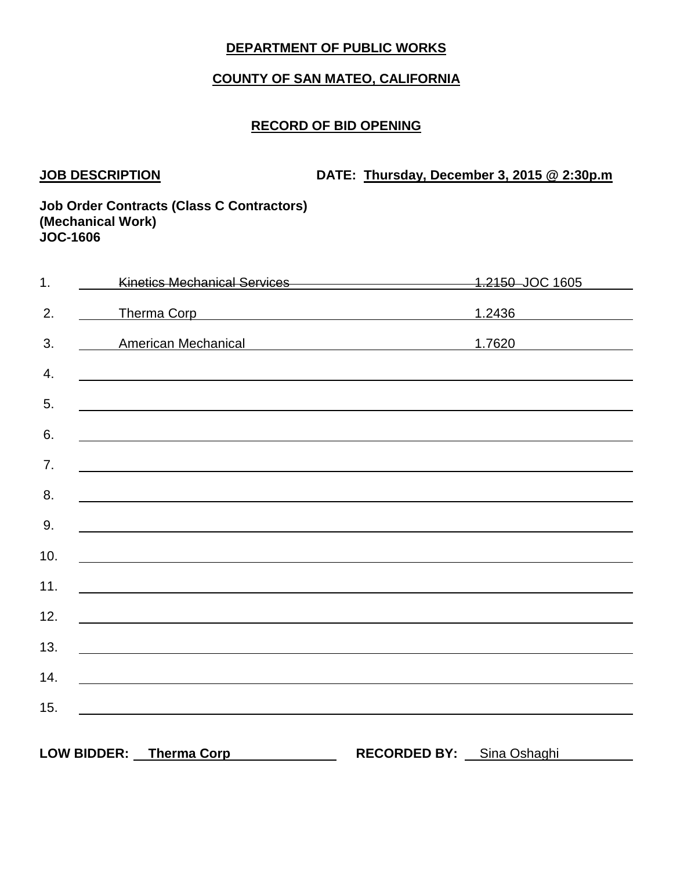# **COUNTY OF SAN MATEO, CALIFORNIA**

# **RECORD OF BID OPENING**

**JOB DESCRIPTION DATE: Thursday, December 3, 2015 @ 2:30p.m**

## **Job Order Contracts (Class C Contractors) (Mechanical Work) JOC-1606**

| $\overline{1}$ . | Kinetics Mechanical Services <b>Manual Accord Services</b>                                                           |                     | 1.2150 JOC 1605                                          |
|------------------|----------------------------------------------------------------------------------------------------------------------|---------------------|----------------------------------------------------------|
| 2.               | Therma Corp <b>Example 2018</b> Therma Corp                                                                          |                     | 1.2436<br><u> 1980 - Jan Barbara Barat, prima popula</u> |
| 3.               | American Mechanical Manual American Mechanical                                                                       |                     | 1.7620 200                                               |
| 4.               |                                                                                                                      |                     |                                                          |
| 5.               |                                                                                                                      |                     |                                                          |
| 6.               |                                                                                                                      |                     |                                                          |
| 7.               |                                                                                                                      |                     |                                                          |
|                  | <u> 1989 - Johann Stein, mars et al. (b. 1989)</u>                                                                   |                     |                                                          |
| 8.               |                                                                                                                      |                     |                                                          |
| 9.               |                                                                                                                      |                     |                                                          |
| 10.              | <u> 1989 - Johann John Stein, marwolaeth a brenin a brenin a brenin a brenin a brenin a brenin a brenin a brenin</u> |                     |                                                          |
| 11.              |                                                                                                                      |                     |                                                          |
| 12.              |                                                                                                                      |                     |                                                          |
| 13.              | <u> 1980 - Johann Barbara, martxa eta batarra (h. 1980).</u>                                                         |                     |                                                          |
| 14.              | <u> 1980 - Johann Barbara, martxa alemaniar argametria (h. 1980).</u>                                                |                     |                                                          |
| 15.              |                                                                                                                      |                     |                                                          |
|                  |                                                                                                                      |                     |                                                          |
|                  | <b>LOW BIDDER:</b><br><b>Therma Corp</b>                                                                             | <b>RECORDED BY:</b> | Sina Oshaghi                                             |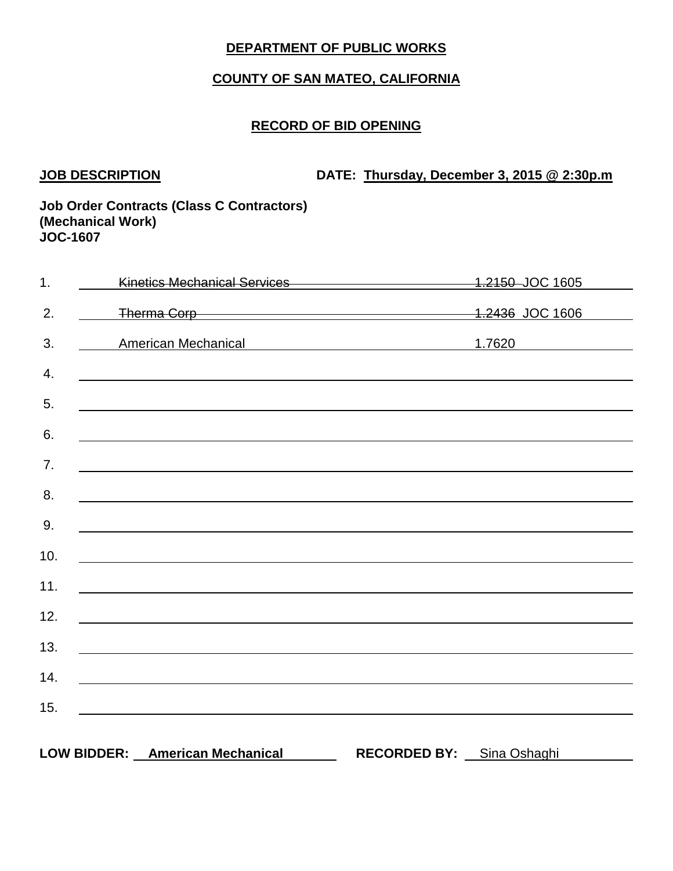# **COUNTY OF SAN MATEO, CALIFORNIA**

# **RECORD OF BID OPENING**

**JOB DESCRIPTION DATE: Thursday, December 3, 2015 @ 2:30p.m**

## **Job Order Contracts (Class C Contractors) (Mechanical Work) JOC-1607**

| 1.  | Kinetics Mechanical Services 4.2150 JOC 1605                                                                                                                                                                                  |                     |              |
|-----|-------------------------------------------------------------------------------------------------------------------------------------------------------------------------------------------------------------------------------|---------------------|--------------|
| 2.  | Therma Corp 1.2436 JOC 1606                                                                                                                                                                                                   |                     |              |
| 3.  | American Mechanical American Mechanical                                                                                                                                                                                       |                     | 1.7620       |
| 4.  | ,我们也不会有什么。""我们的人,我们也不会有什么?""我们的人,我们也不会有什么?""我们的人,我们也不会有什么?""我们的人,我们也不会有什么?""我们的人                                                                                                                                              |                     |              |
| 5.  | ,我们也不会有什么。""我们的人,我们也不会有什么?""我们的人,我们也不会有什么?""我们的人,我们也不会有什么?""我们的人,我们也不会有什么?""我们的人                                                                                                                                              |                     |              |
| 6.  |                                                                                                                                                                                                                               |                     |              |
| 7.  |                                                                                                                                                                                                                               |                     |              |
| 8.  | and the control of the control of the control of the control of the control of the control of the control of the                                                                                                              |                     |              |
| 9.  |                                                                                                                                                                                                                               |                     |              |
| 10. | <u> 1989 - Johann John Stein, markin sanadi a shekara 1989 - An tsa mashrida</u>                                                                                                                                              |                     |              |
| 11. |                                                                                                                                                                                                                               |                     |              |
| 12. | the control of the control of the control of the control of the control of the control of the control of the control of the control of the control of the control of the control of the control of the control of the control |                     |              |
| 13. |                                                                                                                                                                                                                               |                     |              |
| 14. | <u> 1989 - Johann Barn, mars ann an t-Amhainn an t-Amhainn an t-Amhainn an t-Amhainn an t-Amhainn an t-Amhainn a</u>                                                                                                          |                     |              |
|     |                                                                                                                                                                                                                               |                     |              |
| 15. | <u> 1989 - Andrea Andrew Maria (h. 1989).</u>                                                                                                                                                                                 |                     |              |
|     | LOW BIDDER: American Mechanical                                                                                                                                                                                               | <b>RECORDED BY:</b> | Sina Oshaghi |